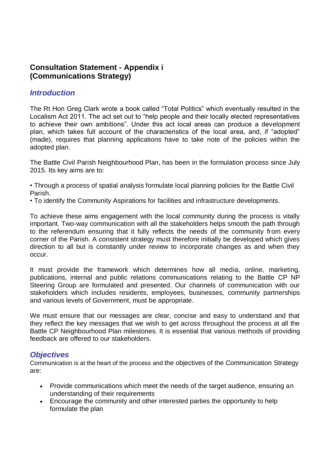# **Consultation Statement - Appendix i (Communications Strategy)**

#### *Introduction*

The Rt Hon Greg Clark wrote a book called "Total Politics" which eventually resulted in the Localism Act 2011. The act set out to "help people and their locally elected representatives to achieve their own ambitions". Under this act local areas can produce a development plan, which takes full account of the characteristics of the local area, and, if "adopted" (made), requires that planning applications have to take note of the policies within the adopted plan.

The Battle Civil Parish Neighbourhood Plan, has been in the formulation process since July 2015. Its key aims are to:

• Through a process of spatial analysis formulate local planning policies for the Battle Civil Parish.

• To identify the Community Aspirations for facilities and infrastructure developments.

To achieve these aims engagement with the local community during the process is vitally important. Two-way communication with all the stakeholders helps smooth the path through to the referendum ensuring that it fully reflects the needs of the community from every corner of the Parish. A consistent strategy must therefore initially be developed which gives direction to all but is constantly under review to incorporate changes as and when they occur.

It must provide the framework which determines how all media, online, marketing, publications, internal and public relations communications relating to the Battle CP NP Steering Group are formulated and presented. Our channels of communication with our stakeholders which includes residents, employees, businesses, community partnerships and various levels of Government, must be appropriate.

We must ensure that our messages are clear, concise and easy to understand and that they reflect the key messages that we wish to get across throughout the process at all the Battle CP Neighbourhood Plan milestones. It is essential that various methods of providing feedback are offered to our stakeholders.

## *Objectives*

Communication is at the heart of the process and the objectives of the Communication Strategy are:

- Provide communications which meet the needs of the target audience, ensuring an understanding of their requirements
- Encourage the community and other interested parties the opportunity to help formulate the plan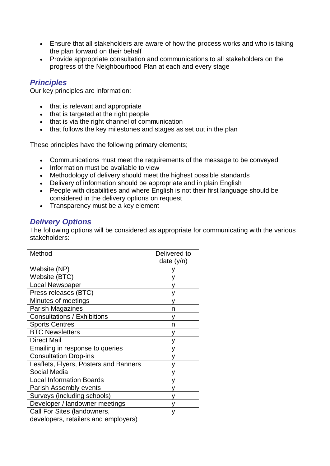- Ensure that all stakeholders are aware of how the process works and who is taking the plan forward on their behalf
- Provide appropriate consultation and communications to all stakeholders on the progress of the Neighbourhood Plan at each and every stage

#### *Principles*

Our key principles are information:

- that is relevant and appropriate
- that is targeted at the right people
- that is via the right channel of communication
- that follows the key milestones and stages as set out in the plan

These principles have the following primary elements;

- Communications must meet the requirements of the message to be conveyed
- Information must be available to view
- Methodology of delivery should meet the highest possible standards
- Delivery of information should be appropriate and in plain English
- People with disabilities and where English is not their first language should be considered in the delivery options on request
- Transparency must be a key element

## *Delivery Options*

The following options will be considered as appropriate for communicating with the various stakeholders:

| Method                                | Delivered to<br>date $(y/n)$ |
|---------------------------------------|------------------------------|
| Website (NP)                          |                              |
| Website (BTC)                         |                              |
| <b>Local Newspaper</b>                |                              |
| Press releases (BTC)                  |                              |
| Minutes of meetings                   |                              |
| Parish Magazines                      | n                            |
| <b>Consultations / Exhibitions</b>    |                              |
| <b>Sports Centres</b>                 | n                            |
| <b>BTC Newsletters</b>                |                              |
| <b>Direct Mail</b>                    |                              |
| Emailing in response to queries       |                              |
| <b>Consultation Drop-ins</b>          |                              |
| Leaflets, Flyers, Posters and Banners |                              |
| Social Media                          |                              |
| <b>Local Information Boards</b>       |                              |
| Parish Assembly events                |                              |
| Surveys (including schools)           |                              |
| Developer / landowner meetings        |                              |
| Call For Sites (landowners,           | у                            |
| developers, retailers and employers)  |                              |